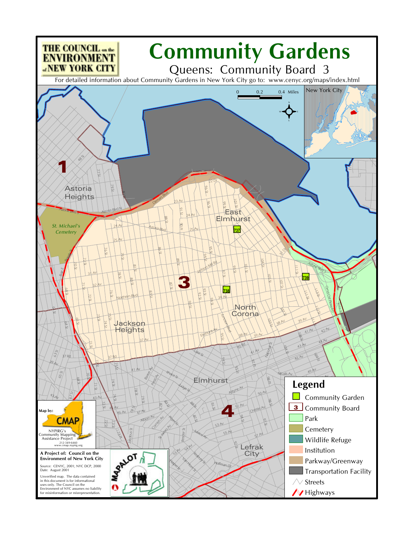